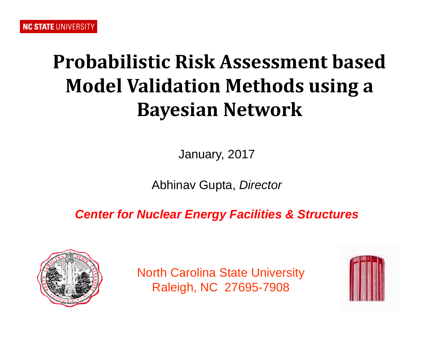## **Probabilistic Risk Assessment basedModel Validation Methods using <sup>a</sup> Bayesian Network**

January, 2017

Abhinav Gupta, *Director*

*Center for Nuclear Energy Facilities & Structures*



North Carolina State University Raleigh, NC 27695-7908

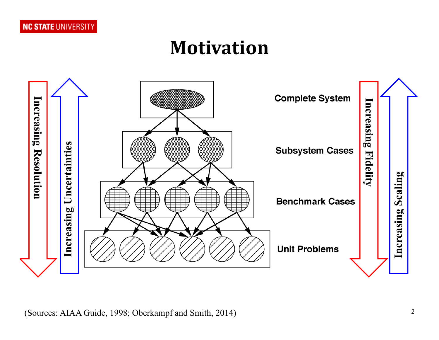### **Motivation**

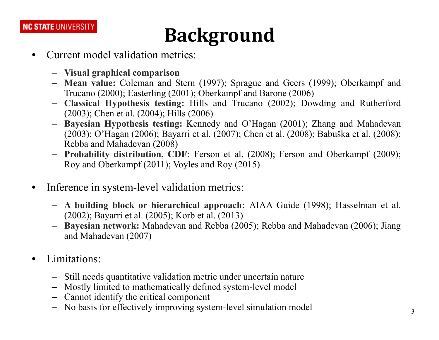# **Background**

- • Current model validation metrics:
	- **Visual graphical comparison**
	- **Mean value:** Coleman and Stern (1997); Sprague and Geers (1999); Oberkampf and Trucano (2000); Easterling (2001); Oberkampf and Barone (2006)
	- **Classical Hypothesis testing:** Hills and Trucano (2002); Dowding and Rutherford (2003); Chen et al. (2004); Hills (2006)
	- **Bayesian Hypothesis testing:** Kennedy and O'Hagan (2001); Zhang and Mahadevan (2003); O'Hagan (2006); Bayarri et al. (2007); Chen et al. (2008); Babuška et al. (2008); Rebba and Mahadevan (2008)
	- **Probability distribution, CDF:** Ferson et al. (2008); Ferson and Oberkampf (2009); Roy and Oberkampf (2011); Voyles and Roy (2015)
- $\bullet$  Inference in system-level validation metrics:
	- **A building block or hierarchical approach:** AIAA Guide (1998); Hasselman et al. (2002); Bayarri et al. (2005); Korb et al. (2013)
	- **Bayesian network:** Mahadevan and Rebba (2005); Rebba and Mahadevan (2006); Jiang and Mahadevan (2007)
- • Limitations:
	- Still needs quantitative validation metric under uncertain nature
	- Mostly limited to mathematically defined system-level model
	- Cannot identify the critical componen<sup>t</sup>
	- No basis for effectively improving system-level simulation model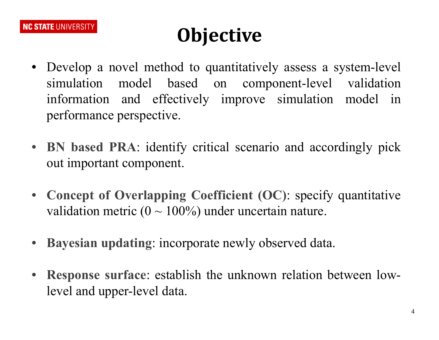# **Objective**

- Develop <sup>a</sup> novel method to quantitatively assess <sup>a</sup> system-level simulation model based on component-level validation information and effectively improve simulation model in performance perspective.
- **BN based PRA**: identify critical scenario and accordingly pick out important component.
- $\bullet$  **Concept of Overlapping Coefficient (OC)**: specify quantitative validation metric ( $0 \sim 100\%$ ) under uncertain nature.
- **Bayesian updating**: incorporate newly observed data.
- $\bullet$  **Response surface**: establish the unknown relation between lowlevel and upper-level data.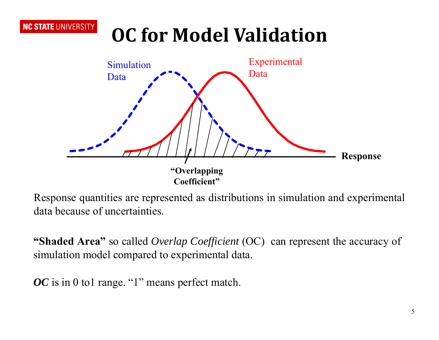# **OC for Model Validation**



Response quantities are represented as distributions in simulation and experimental data because of uncertainties.

**"Shaded Area"** so called *Overlap Coefficient* (OC) can represen<sup>t</sup> the accuracy of simulation model compared to experimental data.

*OC* is in 0 to1 range. "1" means perfect match.

**NC STATE UNIVERSITY**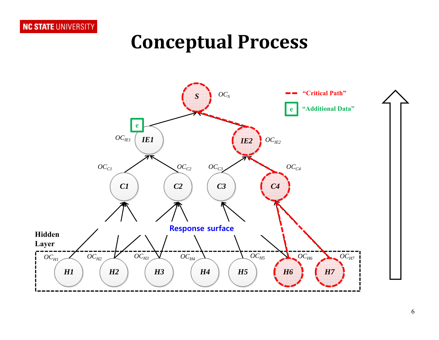#### **Conceptual Process**

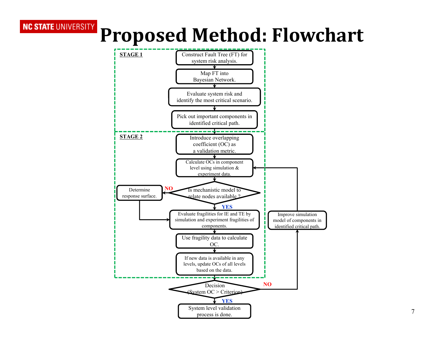# **Proposed Method: Flowchart**

**NC STATE UNIVERSITY** 

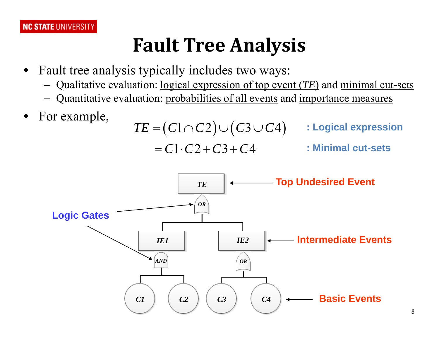### **Fault Tree Analysis**

- • Fault tree analysis typically includes two ways:
	- Qualitative evaluation: logical expression of top event (*TE*) and minimal cut-sets
	- Quantitative evaluation: probabilities of all events and importance measures
- •For example,  $\frac{1}{2}$

$$
TE = (C1 \cap C2) \cup (C3 \cup C4) \qquad : \text{Logical expression}
$$
  
= C1 \cdot C2 + C3 + C4 : \text{Minimal cut-sets}

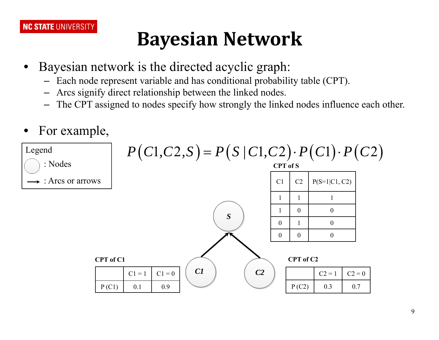## **Bayesian Network**

- $\bullet$  Bayesian network is the directed acyclic graph:
	- Each node represen<sup>t</sup> variable and has conditional probability table (CPT).
	- Arcs signify direct relationship between the linked nodes.
	- The CPT assigned to nodes specify how strongly the linked nodes influence each other.
- •For example,

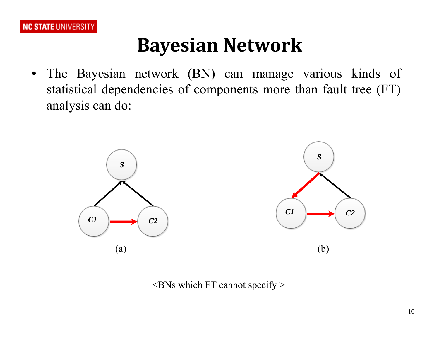

#### **Bayesian Network**

 $\bullet$  The Bayesian network (BN) can manage various kinds of statistical dependencies of components more than fault tree (FT) analysis can do:



 $\leq$ BNs which FT cannot specify  $>$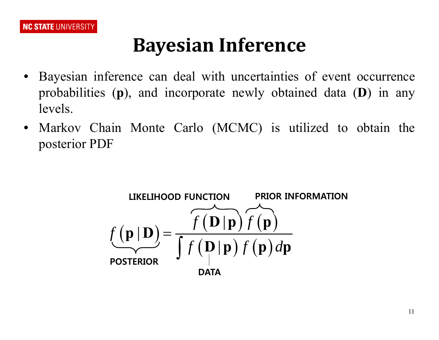## **Bayesian Inference**

- $\bullet$  Bayesian inference can deal with uncertainties of event occurrence probabilities (**p**), and incorporate newly obtained data (**D**) in any levels.
- $\bullet$  Markov Chain Monte Carlo (MCMC) is utilized to obtain the posterior PDF

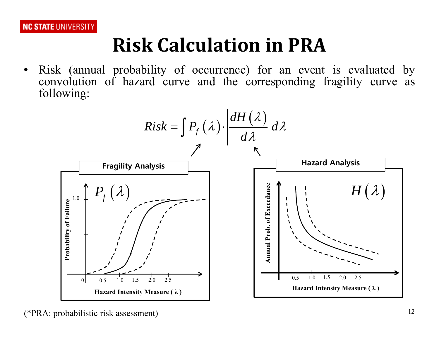## **Risk Calculation in PRA**

 $\bullet$  Risk (annual probability of occurrence) for an event is evaluated by convolution of hazard curve and the corresponding fragility curve as following:

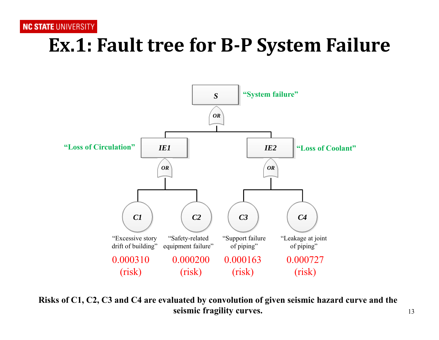### **Ex.1: Fault tree for B‐P System Failure**



**Risks of C1, C2, C3 and C4 are evaluated by convolution of given seismic hazard curve and the seismic fragility curves.**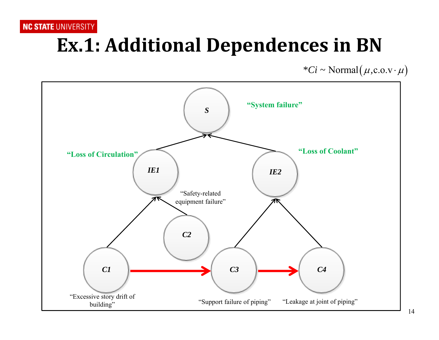## **Ex.1: Additional Dependences in BN**

 $*Ci \sim \text{Normal}(\mu, c.o.v \cdot \mu)$ 

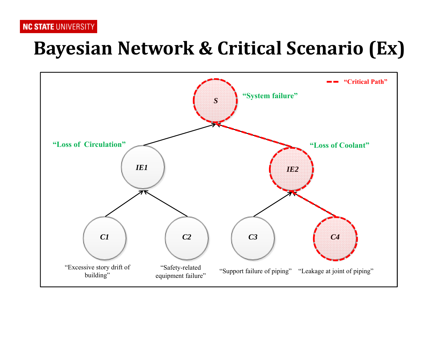#### **Bayesian Network & Critical Scenario (Ex)**

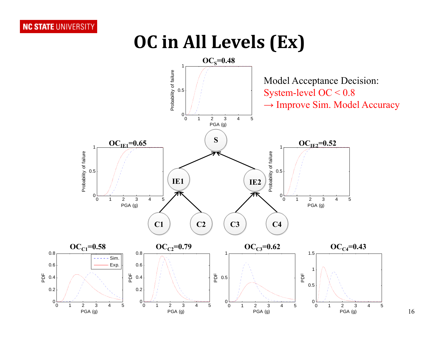#### **OC in All Levels (Ex)**



16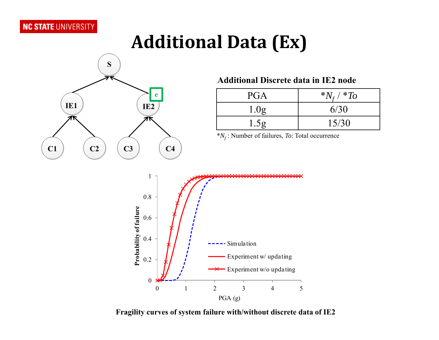### **Additional Data (Ex)**



#### **Additional Discrete data in IE2 node**

| <b>PGA</b>       | $N_{\rm f}$ / * To |
|------------------|--------------------|
| 1.0 <sub>g</sub> | 6/30               |
| 1.5 <sub>g</sub> | 15/30              |

\**Nf* : Number of failures, *To*: Total occurrence

**Fragility curves of system failure with/without discrete data of IE2**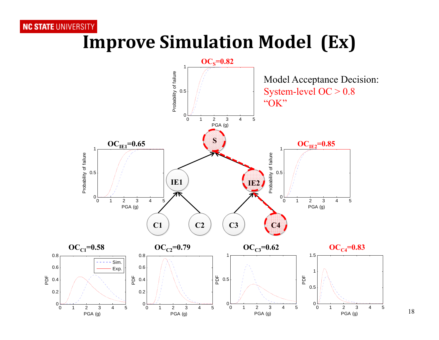#### **Improve Simulation Model (Ex)**

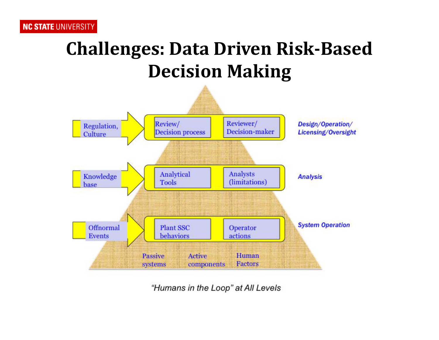### **Challenges: Data Driven Risk‐Based Decision Making**



"Humans in the Loop" at All Levels